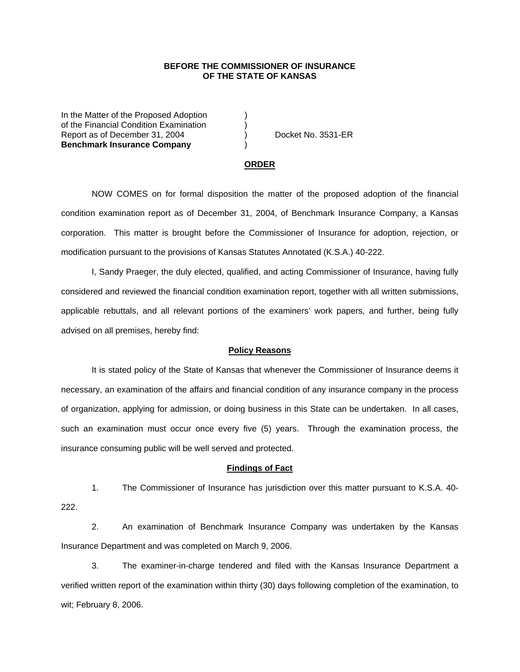## **BEFORE THE COMMISSIONER OF INSURANCE OF THE STATE OF KANSAS**

In the Matter of the Proposed Adoption of the Financial Condition Examination ) Report as of December 31, 2004 (a) Docket No. 3531-ER **Benchmark Insurance Company** )

#### **ORDER**

 NOW COMES on for formal disposition the matter of the proposed adoption of the financial condition examination report as of December 31, 2004, of Benchmark Insurance Company, a Kansas corporation. This matter is brought before the Commissioner of Insurance for adoption, rejection, or modification pursuant to the provisions of Kansas Statutes Annotated (K.S.A.) 40-222.

 I, Sandy Praeger, the duly elected, qualified, and acting Commissioner of Insurance, having fully considered and reviewed the financial condition examination report, together with all written submissions, applicable rebuttals, and all relevant portions of the examiners' work papers, and further, being fully advised on all premises, hereby find:

### **Policy Reasons**

 It is stated policy of the State of Kansas that whenever the Commissioner of Insurance deems it necessary, an examination of the affairs and financial condition of any insurance company in the process of organization, applying for admission, or doing business in this State can be undertaken. In all cases, such an examination must occur once every five (5) years. Through the examination process, the insurance consuming public will be well served and protected.

#### **Findings of Fact**

 1. The Commissioner of Insurance has jurisdiction over this matter pursuant to K.S.A. 40- 222.

 2. An examination of Benchmark Insurance Company was undertaken by the Kansas Insurance Department and was completed on March 9, 2006.

 3. The examiner-in-charge tendered and filed with the Kansas Insurance Department a verified written report of the examination within thirty (30) days following completion of the examination, to wit; February 8, 2006.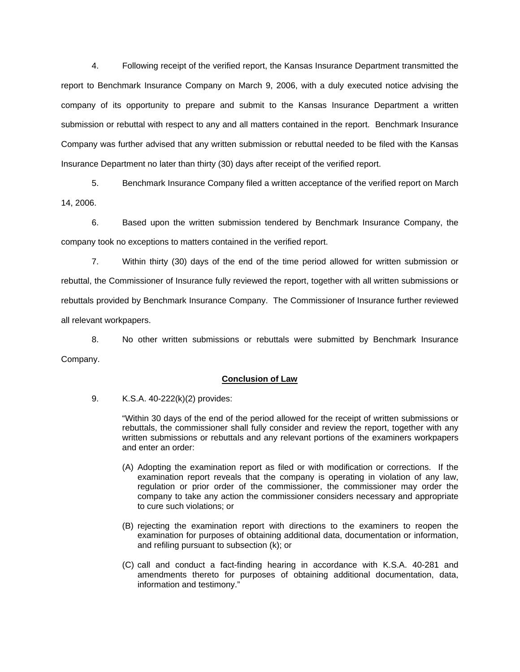4. Following receipt of the verified report, the Kansas Insurance Department transmitted the report to Benchmark Insurance Company on March 9, 2006, with a duly executed notice advising the company of its opportunity to prepare and submit to the Kansas Insurance Department a written submission or rebuttal with respect to any and all matters contained in the report. Benchmark Insurance Company was further advised that any written submission or rebuttal needed to be filed with the Kansas Insurance Department no later than thirty (30) days after receipt of the verified report.

 5. Benchmark Insurance Company filed a written acceptance of the verified report on March 14, 2006.

 6. Based upon the written submission tendered by Benchmark Insurance Company, the company took no exceptions to matters contained in the verified report.

 7. Within thirty (30) days of the end of the time period allowed for written submission or rebuttal, the Commissioner of Insurance fully reviewed the report, together with all written submissions or rebuttals provided by Benchmark Insurance Company. The Commissioner of Insurance further reviewed all relevant workpapers.

 8. No other written submissions or rebuttals were submitted by Benchmark Insurance Company.

## **Conclusion of Law**

9. K.S.A. 40-222(k)(2) provides:

"Within 30 days of the end of the period allowed for the receipt of written submissions or rebuttals, the commissioner shall fully consider and review the report, together with any written submissions or rebuttals and any relevant portions of the examiners workpapers and enter an order:

- (A) Adopting the examination report as filed or with modification or corrections. If the examination report reveals that the company is operating in violation of any law, regulation or prior order of the commissioner, the commissioner may order the company to take any action the commissioner considers necessary and appropriate to cure such violations; or
- (B) rejecting the examination report with directions to the examiners to reopen the examination for purposes of obtaining additional data, documentation or information, and refiling pursuant to subsection (k); or
- (C) call and conduct a fact-finding hearing in accordance with K.S.A. 40-281 and amendments thereto for purposes of obtaining additional documentation, data, information and testimony."